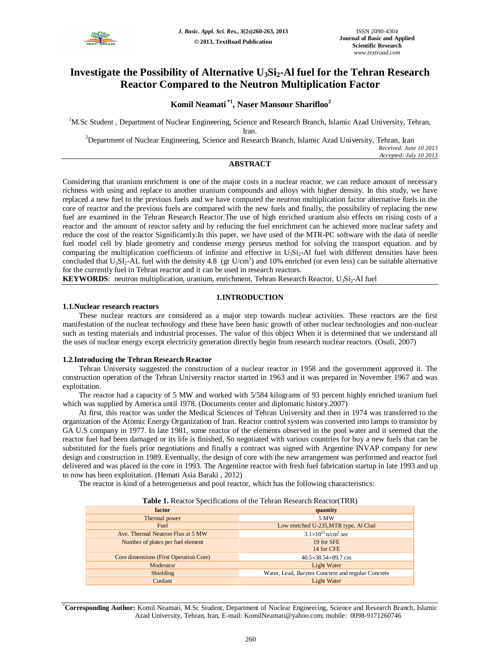

# **Investigate the Possibility of Alternative U3Si2-Al fuel for the Tehran Research Reactor Compared to the Neutron Multiplication Factor**

## **Komil Neamati \*1 , Naser Mansour Sharifloo<sup>2</sup>**

<sup>1</sup>M.Sc Student, Department of Nuclear Engineering, Science and Research Branch, Islamic Azad University, Tehran,

Iran.

<sup>2</sup>Department of Nuclear Engineering, Science and Research Branch, Islamic Azad University, Tehran, Iran

*Received: June 10 2013 Accepted: July 10 2013*

## **ABSTRACT**

Considering that uranium enrichment is one of the major costs in a nuclear reactor, we can reduce amount of necessary richness with using and replace to another uranium compounds and alloys with higher density. In this study, we have replaced a new fuel to the previous fuels and we have computed the neutron multiplication factor alternative fuels in the core of reactor and the previous fuels are compared with the new fuels and finally, the possibility of replacing the new fuel are examined in the Tehran Research Reactor.The use of high enriched uranium also effects on rising costs of a reactor and the amount of reactor safety and by reducing the fuel enrichment can be achieved more nuclear safety and reduce the cost of the reactor Significantly.In this paper, we have used of the MTR-PC software with the data of needle fuel model cell by blade geometry and condense energy perseus method for solving the transport equation. and by comparing the multiplication coefficients of infinite and effective in  $U_3Si_2$ -Al fuel with different densities have been concluded that  $U_3SL_2$ -AL fuel with the density 4.8 (gr  $U/cm^3$ ) and 10% enriched (or even less) can be suitable alternative for the currently fuel in Tehran reactor and it can be used in research reactors.

**KEYWORDS**: neutron multiplication, uranium, enrichment, Tehran Research Reactor, U<sub>3</sub>Si<sub>2</sub>-Al fuel

## **1.INTRODUCTION**

#### **1.1.Nuclear research reactors**

These nuclear reactors are considered as a major step towards nuclear activities. These reactors are the first manifestation of the nuclear technology and these have been basic growth of other nuclear technologies and non-nuclear such as testing materials and industrial processes. The value of this object When it is determined that we understand all the uses of nuclear energy except electricity generation directly begin from research nuclear reactors. (Osuli, 2007)

### **1.2.Introducing the Tehran Research Reactor**

Tehran University suggested the construction of a nuclear reactor in 1958 and the government approved it. The construction operation of the Tehran University reactor started in 1963 and it was prepared in November 1967 and was exploitation.

The reactor had a capacity of 5 MW and worked with 5/584 kilograms of 93 percent highly enriched uranium fuel which was supplied by America until 1978. (Documents center and diplomatic history.2007)

At first, this reactor was under the Medical Sciences of Tehran University and then in 1974 was transferred to the organization of the Atomic Energy Organization of Iran. Reactor control system was converted into lamps to transistor by GA U.S company in 1977. In late 1981, some reactor of the elements observed in the pool water and it seemed that the reactor fuel had been damaged or its life is finished, So negotiated with various countries for buy a new fuels that can be substituted for the fuels prior negotiations and finally a contract was signed with Argentine INVAP company for new design and construction in 1989. Eventually, the design of core with the new arrangement was performed and reactor fuel delivered and was placed in the core in 1993. The Argentine reactor with fresh fuel fabrication startup in late 1993 and up to now has been exploitation. (Hemati Asia Baraki , 2012)

The reactor is kind of a heterogeneous and pool reactor, which has the following characteristics:

| <b>Table 1.</b> Reactor Specifications of the Tehran Research Reactor(TRR) |                                                    |  |  |  |
|----------------------------------------------------------------------------|----------------------------------------------------|--|--|--|
| factor                                                                     | quantity                                           |  |  |  |
| Thermal power                                                              | 5 MW                                               |  |  |  |
| Fuel                                                                       | Low enriched U-235, MTR type, Al Clad              |  |  |  |
| Ave. Thermal Neutron Flux at 5 MW                                          | $3.1\times10^{13}$ n/cm <sup>2</sup> .sec          |  |  |  |
| Number of plates per fuel element                                          | 19 for SFE                                         |  |  |  |
|                                                                            | 14 for CFE                                         |  |  |  |
| Core dimensions (First Operation Core)                                     | 40.5×38.54×89.7 cm                                 |  |  |  |
| Moderator                                                                  | Light Water                                        |  |  |  |
| Shielding                                                                  | Water, Lead, Barytes Concrete and regular Concrete |  |  |  |
| Coolant                                                                    | Light Water                                        |  |  |  |

**Table 1.** Reactor Specifications of the Tehran Research Reactor(TRR)

\***Corresponding Author:** Komil Neamati, M.Sc Student, Department of Nuclear Engineering, Science and Research Branch, Islamic Azad University, Tehran, Iran, E-mail: KomilNeamati@yahoo.com; mobile: 0098-9171260746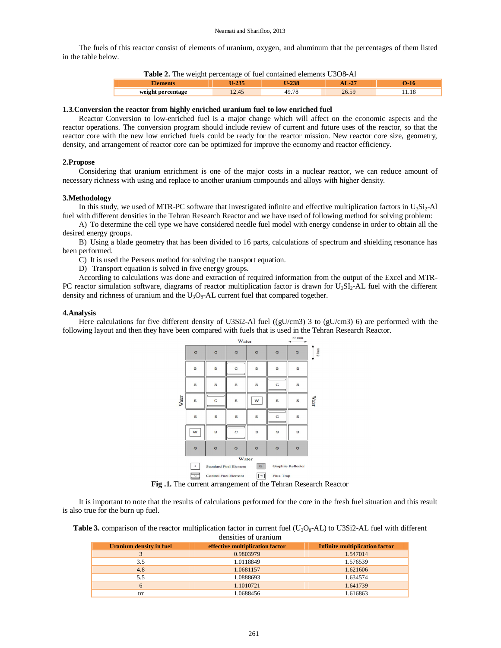The fuels of this reactor consist of elements of uranium, oxygen, and aluminum that the percentages of them listed in the table below.

|  |  | Table 2. The weight percentage of fuel contained elements U3O8-Al |  |  |  |  |
|--|--|-------------------------------------------------------------------|--|--|--|--|
|--|--|-------------------------------------------------------------------|--|--|--|--|

|                                  | $\sim$ $\sim$ $\sim$ | ____<br>− | $\bigwedge$ | _ |
|----------------------------------|----------------------|-----------|-------------|---|
| weight<br>rcentage<br>11 CLC 111 |                      |           |             |   |

#### **1.3.Conversion the reactor from highly enriched uranium fuel to low enriched fuel**

Reactor Conversion to low-enriched fuel is a major change which will affect on the economic aspects and the reactor operations. The conversion program should include review of current and future uses of the reactor, so that the reactor core with the new low enriched fuels could be ready for the reactor mission. New reactor core size, geometry, density, and arrangement of reactor core can be optimized for improve the economy and reactor efficiency.

#### **2.Propose**

Considering that uranium enrichment is one of the major costs in a nuclear reactor, we can reduce amount of necessary richness with using and replace to another uranium compounds and alloys with higher density.

#### **3.Methodology**

In this study, we used of MTR-PC software that investigated infinite and effective multiplication factors in  $U_3Si_2$ -Al fuel with different densities in the Tehran Research Reactor and we have used of following method for solving problem:

A) To determine the cell type we have considered needle fuel model with energy condense in order to obtain all the desired energy groups.

B) Using a blade geometry that has been divided to 16 parts, calculations of spectrum and shielding resonance has been performed.

C) It is used the Perseus method for solving the transport equation.

D) Transport equation is solved in five energy groups.

According to calculations was done and extraction of required information from the output of the Excel and MTR-PC reactor simulation software, diagrams of reactor multiplication factor is drawn for  $U_3S I_2$ -AL fuel with the different density and richness of uranium and the  $U_3O_8$ -AL current fuel that compared together.

#### **4.Analysis**

Here calculations for five different density of U3Si2-Al fuel ((gU/cm3) 3 to (gU/cm3) 6) are performed with the following layout and then they have been compared with fuels that is used in the Tehran Research Reactor.



**Fig .1.** The current arrangement of the Tehran Research Reactor

It is important to note that the results of calculations performed for the core in the fresh fuel situation and this result is also true for the burn up fuel.

**Table 3.** comparison of the reactor multiplication factor in current fuel  $(U_3O_8$ -AL) to U3Si2-AL fuel with different densities of uranium

| Uranium density in fuel | effective multiplication factor | <b>Infinite multiplication factor</b> |
|-------------------------|---------------------------------|---------------------------------------|
|                         | 0.9803979                       | 1.547014                              |
| 3.5                     | 1.0118849                       | 1.576539                              |
| 4.8                     | 1.0681157                       | 1.621606                              |
| 5.5                     | 1.0888693                       | 1.634574                              |
| 6                       | 1.1010721                       | 1.641739                              |
| trr                     | 1.0688456                       | 1.616863                              |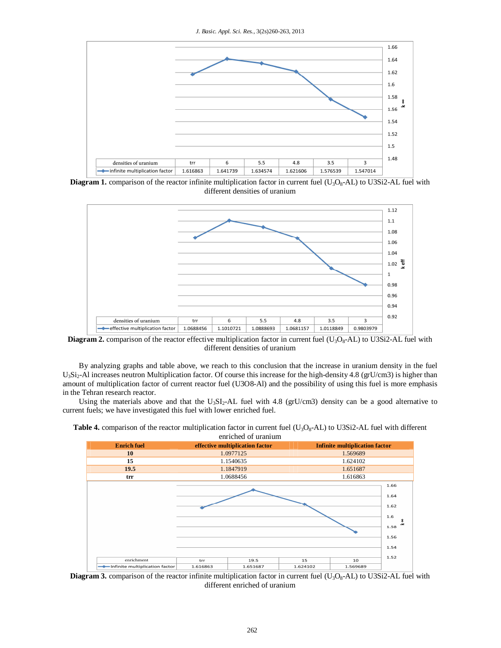

**Diagram 1.** comparison of the reactor infinite multiplication factor in current fuel  $(U_3O_8-AL)$  to U3Si2-AL fuel with different densities of uranium



**Diagram 2.** comparison of the reactor effective multiplication factor in current fuel  $(U_3O_8-AL)$  to U3Si2-AL fuel with different densities of uranium

By analyzing graphs and table above, we reach to this conclusion that the increase in uranium density in the fuel U<sub>3</sub>Si<sub>2</sub>-Al increases neutron Multiplication factor. Of course this increase for the high-density 4.8 (grU/cm3) is higher than amount of multiplication factor of current reactor fuel (U3O8-Al) and the possibility of using this fuel is more emphasis in the Tehran research reactor.

Using the materials above and that the U<sub>3</sub>SI<sub>2</sub>-AL fuel with 4.8 (grU/cm3) density can be a good alternative to current fuels; we have investigated this fuel with lower enriched fuel.



**Table 4.** comparison of the reactor multiplication factor in current fuel  $(U_3O_8 - AL)$  to U3Si2-AL fuel with different enriched of uranium

**Diagram 3.** comparison of the reactor infinite multiplication factor in current fuel  $(U_3O_8-AL)$  to U3Si2-AL fuel with different enriched of uranium